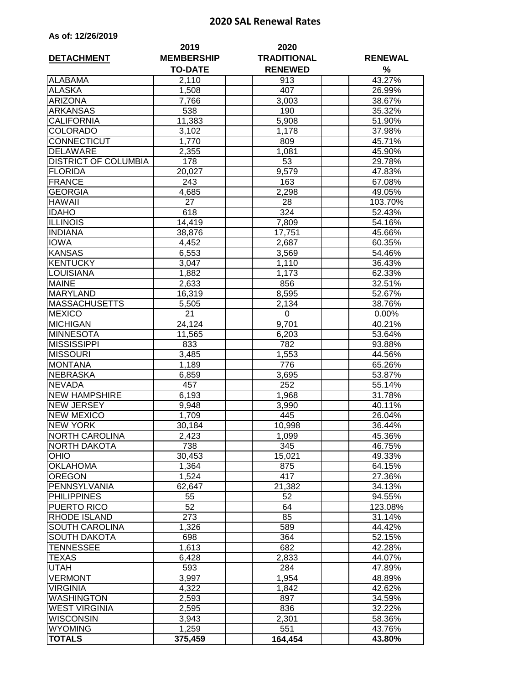## **2020 SAL Renewal Rates**

| As of: 12/26/2019 |  |  |  |  |  |
|-------------------|--|--|--|--|--|
|-------------------|--|--|--|--|--|

| <b>DETACHMENT</b>           | 2019<br><b>MEMBERSHIP</b> | 2020<br><b>TRADITIONAL</b> | <b>RENEWAL</b>   |  |
|-----------------------------|---------------------------|----------------------------|------------------|--|
|                             | <b>TO-DATE</b>            | <b>RENEWED</b>             | %                |  |
| <b>ALABAMA</b>              | 2,110                     | 913                        | 43.27%           |  |
| <b>ALASKA</b>               | 1,508                     | 407                        | 26.99%           |  |
| <b>ARIZONA</b>              | 7,766                     | 3,003                      | 38.67%           |  |
| <b>ARKANSAS</b>             | 538                       | 190                        | 35.32%           |  |
| <b>CALIFORNIA</b>           | 11,383                    | 5,908                      | 51.90%           |  |
| <b>COLORADO</b>             | 3,102                     | 1,178                      | 37.98%           |  |
| CONNECTICUT                 | 1,770                     | 809                        | 45.71%           |  |
| <b>DELAWARE</b>             | 2,355                     | 1,081                      | 45.90%           |  |
| <b>DISTRICT OF COLUMBIA</b> | 178                       | 53                         | 29.78%           |  |
| <b>FLORIDA</b>              | 20,027                    | 9,579                      | 47.83%           |  |
| <b>FRANCE</b>               | 243                       | 163                        | 67.08%           |  |
| <b>GEORGIA</b>              | 4,685                     | 2,298                      | 49.05%           |  |
| <b>HAWAII</b>               | 27                        | 28                         | 103.70%          |  |
| <b>IDAHO</b>                | 618                       | 324                        | 52.43%           |  |
| <b>ILLINOIS</b>             | 14,419                    | 7,809                      | 54.16%           |  |
| <b>INDIANA</b>              | 38,876                    | 17,751                     | 45.66%           |  |
| <b>IOWA</b>                 | 4,452                     | 2,687                      | 60.35%           |  |
| <b>KANSAS</b>               | 6,553                     | 3,569                      | 54.46%           |  |
| <b>KENTUCKY</b>             | 3,047                     | 1,110                      | 36.43%           |  |
| LOUISIANA                   | 1,882                     | 1,173                      | 62.33%           |  |
| <b>MAINE</b>                | 2,633                     | 856                        | 32.51%           |  |
| <b>MARYLAND</b>             | 16,319                    | 8,595                      | 52.67%           |  |
| <b>MASSACHUSETTS</b>        | 5,505                     | 2,134                      | 38.76%           |  |
| <b>MEXICO</b>               | 21                        | 0                          | 0.00%            |  |
| <b>MICHIGAN</b>             | 24,124                    | 9,701                      | 40.21%           |  |
| <b>MINNESOTA</b>            | 11,565                    | 6,203                      | 53.64%           |  |
| <b>MISSISSIPPI</b>          | 833                       | 782                        | 93.88%           |  |
| <b>MISSOURI</b>             | 3,485                     | 1,553                      | 44.56%           |  |
| <b>MONTANA</b>              | 1,189                     | 776                        | 65.26%           |  |
| <b>NEBRASKA</b>             | 6,859                     | 3,695                      | 53.87%           |  |
| <b>NEVADA</b>               | 457                       | 252                        | 55.14%           |  |
| <b>NEW HAMPSHIRE</b>        | 6,193                     | 1,968                      | 31.78%           |  |
| <b>NEW JERSEY</b>           | 9,948                     | 3,990                      | 40.11%           |  |
| <b>NEW MEXICO</b>           | 1,709                     | 445                        | 26.04%           |  |
| <b>NEW YORK</b>             | 30,184                    | 10,998                     | 36.44%           |  |
| <b>NORTH CAROLINA</b>       | 2,423                     | 1,099<br>345               | 45.36%           |  |
| NORTH DAKOTA<br><b>OHIO</b> | 738<br>30,453             | 15,021                     | 46.75%<br>49.33% |  |
| <b>OKLAHOMA</b>             | 1,364                     | 875                        | 64.15%           |  |
| <b>OREGON</b>               | 1,524                     | 417                        | 27.36%           |  |
| PENNSYLVANIA                | 62,647                    | 21,382                     | 34.13%           |  |
| <b>PHILIPPINES</b>          | 55                        | 52                         | 94.55%           |  |
| PUERTO RICO                 | 52                        | 64                         | 123.08%          |  |
| <b>RHODE ISLAND</b>         | 273                       | 85                         | 31.14%           |  |
| SOUTH CAROLINA              | 1,326                     | 589                        | 44.42%           |  |
| <b>SOUTH DAKOTA</b>         | 698                       | 364                        | 52.15%           |  |
| TENNESSEE                   | 1,613                     | 682                        | 42.28%           |  |
| TEXAS                       | 6,428                     | 2,833                      | 44.07%           |  |
| UTAH                        | 593                       | 284                        | 47.89%           |  |
| <b>VERMONT</b>              | 3,997                     | 1,954                      | 48.89%           |  |
| <b>VIRGINIA</b>             | 4,322                     | 1,842                      | 42.62%           |  |
| <b>WASHINGTON</b>           | 2,593                     | 897                        | 34.59%           |  |
| <b>WEST VIRGINIA</b>        | 2,595                     | 836                        | 32.22%           |  |
| <b>WISCONSIN</b>            | 3,943                     | 2,301                      | 58.36%           |  |
| <b>WYOMING</b>              | 1,259                     | 551                        | 43.76%           |  |
| <b>TOTALS</b>               | 375,459                   | 164,454                    | 43.80%           |  |